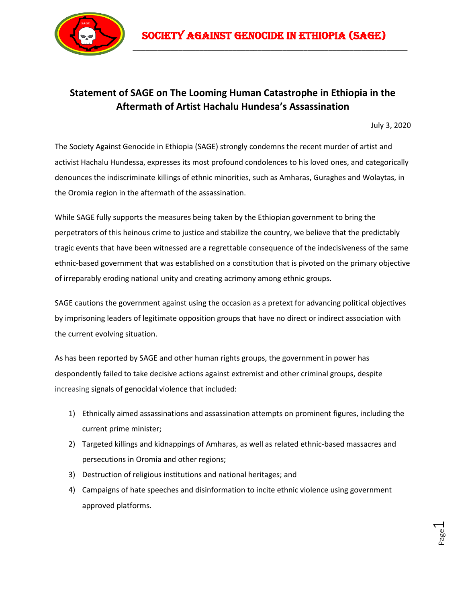

\_\_\_\_\_\_\_\_\_\_\_\_\_\_\_\_\_\_\_\_\_\_\_\_\_\_\_\_\_\_\_\_\_\_\_\_\_\_\_\_\_\_\_\_\_\_\_\_\_\_\_\_\_\_\_\_\_\_\_\_\_\_\_\_\_\_

## **Statement of SAGE on The Looming Human Catastrophe in Ethiopia in the Aftermath of Artist Hachalu Hundesa's Assassination**

July 3, 2020

The Society Against Genocide in Ethiopia (SAGE) strongly condemns the recent murder of artist and activist Hachalu Hundessa, expresses its most profound condolences to his loved ones, and categorically denounces the indiscriminate killings of ethnic minorities, such as Amharas, Guraghes and Wolaytas, in the Oromia region in the aftermath of the assassination.

While SAGE fully supports the measures being taken by the Ethiopian government to bring the perpetrators of this heinous crime to justice and stabilize the country, we believe that the predictably tragic events that have been witnessed are a regrettable consequence of the indecisiveness of the same ethnic-based government that was established on a constitution that is pivoted on the primary objective of irreparably eroding national unity and creating acrimony among ethnic groups.

SAGE cautions the government against using the occasion as a pretext for advancing political objectives by imprisoning leaders of legitimate opposition groups that have no direct or indirect association with the current evolving situation.

As has been reported by SAGE and other human rights groups, the government in power has despondently failed to take decisive actions against extremist and other criminal groups, despite increasing signals of genocidal violence that included:

- 1) Ethnically aimed assassinations and assassination attempts on prominent figures, including the current prime minister;
- 2) Targeted killings and kidnappings of Amharas, as well as related ethnic-based massacres and persecutions in Oromia and other regions;
- 3) Destruction of religious institutions and national heritages; and
- 4) Campaigns of hate speeches and disinformation to incite ethnic violence using government approved platforms.